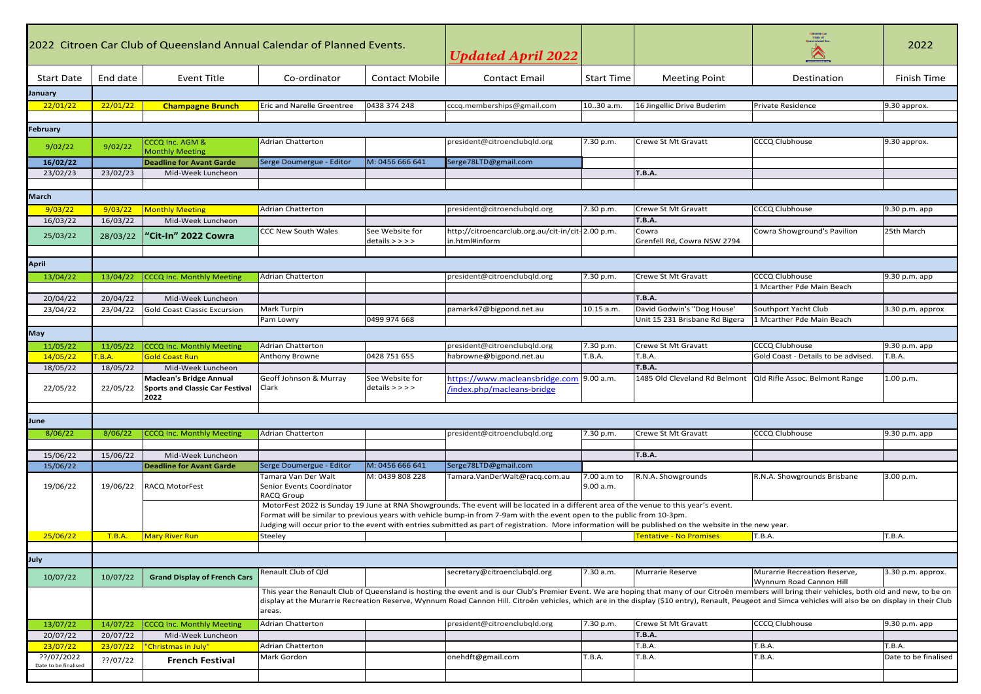| 2022 Citroen Car Club of Queensland Annual Calendar of Planned Events. |                      |                                                                                  |                                                                                                                                                                                                                                                                                                                                                                                                                              | <b>Updated April 2022</b>            |                                                                     |                          |                                      | 2022                                                         |                         |
|------------------------------------------------------------------------|----------------------|----------------------------------------------------------------------------------|------------------------------------------------------------------------------------------------------------------------------------------------------------------------------------------------------------------------------------------------------------------------------------------------------------------------------------------------------------------------------------------------------------------------------|--------------------------------------|---------------------------------------------------------------------|--------------------------|--------------------------------------|--------------------------------------------------------------|-------------------------|
| <b>Start Date</b>                                                      | End date             | Event Title                                                                      | Co-ordinator                                                                                                                                                                                                                                                                                                                                                                                                                 | <b>Contact Mobile</b>                | <b>Contact Email</b>                                                | <b>Start Time</b>        | <b>Meeting Point</b>                 | Destination                                                  | Finish Time             |
| January                                                                |                      |                                                                                  |                                                                                                                                                                                                                                                                                                                                                                                                                              |                                      |                                                                     |                          |                                      |                                                              |                         |
| 22/01/22                                                               | 22/01/22             | <b>Champagne Brunch</b>                                                          | Eric and Narelle Greentree                                                                                                                                                                                                                                                                                                                                                                                                   | 0438 374 248                         | cccq.memberships@gmail.com                                          | 10.30 a.m.               | 16 Jingellic Drive Buderim           | Private Residence                                            | 9.30 approx.            |
|                                                                        |                      |                                                                                  |                                                                                                                                                                                                                                                                                                                                                                                                                              |                                      |                                                                     |                          |                                      |                                                              |                         |
| February                                                               |                      |                                                                                  |                                                                                                                                                                                                                                                                                                                                                                                                                              |                                      |                                                                     |                          |                                      |                                                              |                         |
| 9/02/22                                                                | 9/02/22              | CCCQ Inc. AGM &<br><b>Monthly Meeting</b>                                        | <b>Adrian Chatterton</b>                                                                                                                                                                                                                                                                                                                                                                                                     |                                      | president@citroenclubqld.org                                        | 7.30 p.m.                | Crewe St Mt Gravatt                  | CCCQ Clubhouse                                               | 9.30 approx.            |
| 16/02/22                                                               |                      | <b>Deadline for Avant Garde</b>                                                  | Serge Doumergue - Editor                                                                                                                                                                                                                                                                                                                                                                                                     | M: 0456 666 641                      | Serge78LTD@gmail.com                                                |                          |                                      |                                                              |                         |
| 23/02/23                                                               | 23/02/23             | Mid-Week Luncheon                                                                |                                                                                                                                                                                                                                                                                                                                                                                                                              |                                      |                                                                     |                          | <b>T.B.A.</b>                        |                                                              |                         |
|                                                                        |                      |                                                                                  |                                                                                                                                                                                                                                                                                                                                                                                                                              |                                      |                                                                     |                          |                                      |                                                              |                         |
| <b>March</b>                                                           |                      |                                                                                  |                                                                                                                                                                                                                                                                                                                                                                                                                              |                                      |                                                                     |                          |                                      |                                                              |                         |
| 9/03/22                                                                | 9/03/22              | <b>Monthly Meeting</b>                                                           | <b>Adrian Chatterton</b>                                                                                                                                                                                                                                                                                                                                                                                                     |                                      | president@citroenclubqld.org                                        | 7.30 p.m.                | Crewe St Mt Gravatt                  | CCCQ Clubhouse                                               | 9.30 p.m. app           |
| 16/03/22                                                               | 16/03/22             | Mid-Week Luncheon                                                                |                                                                                                                                                                                                                                                                                                                                                                                                                              |                                      |                                                                     |                          | <b>T.B.A.</b>                        |                                                              |                         |
| 25/03/22                                                               | 28/03/22             | "Cit-In" 2022 Cowra                                                              | <b>CCC New South Wales</b>                                                                                                                                                                                                                                                                                                                                                                                                   | See Website for<br>$details$ > > > > | http://citroencarclub.org.au/cit-in/cit-2.00 p.m.<br>in.html#inform |                          | Cowra<br>Grenfell Rd, Cowra NSW 2794 | Cowra Showground's Pavilion                                  | 25th March              |
|                                                                        |                      |                                                                                  |                                                                                                                                                                                                                                                                                                                                                                                                                              |                                      |                                                                     |                          |                                      |                                                              |                         |
| <b>April</b>                                                           |                      |                                                                                  |                                                                                                                                                                                                                                                                                                                                                                                                                              |                                      |                                                                     |                          |                                      |                                                              |                         |
| 13/04/22                                                               | 13/04/22             | <b>CCCQ Inc. Monthly Meeting</b>                                                 | <b>Adrian Chatterton</b>                                                                                                                                                                                                                                                                                                                                                                                                     |                                      | president@citroenclubqld.org                                        | 7.30 p.m.                | Crewe St Mt Gravatt                  | CCCQ Clubhouse                                               | 9.30 p.m. app           |
|                                                                        |                      |                                                                                  |                                                                                                                                                                                                                                                                                                                                                                                                                              |                                      |                                                                     |                          | <b>T.B.A.</b>                        | 1 Mcarther Pde Main Beach                                    |                         |
| 20/04/22<br>23/04/22                                                   | 20/04/22<br>23/04/22 | Mid-Week Luncheon<br><b>Gold Coast Classic Excursion</b>                         | Mark Turpin                                                                                                                                                                                                                                                                                                                                                                                                                  |                                      | pamark47@bigpond.net.au                                             | 10.15 a.m.               | David Godwin's "Dog House'           | Southport Yacht Club                                         | 3.30 p.m. approx        |
|                                                                        |                      |                                                                                  | Pam Lowry                                                                                                                                                                                                                                                                                                                                                                                                                    | 0499 974 668                         |                                                                     |                          | Unit 15 231 Brisbane Rd Bigera       | 1 Mcarther Pde Main Beach                                    |                         |
|                                                                        |                      |                                                                                  |                                                                                                                                                                                                                                                                                                                                                                                                                              |                                      |                                                                     |                          |                                      |                                                              |                         |
| <b>May</b>                                                             |                      |                                                                                  |                                                                                                                                                                                                                                                                                                                                                                                                                              |                                      |                                                                     |                          |                                      |                                                              |                         |
| 11/05/22<br>14/05/22                                                   | 11/05/22<br>F.B.A.   | <b>CCCQ Inc. Monthly Meeting</b><br><b>Gold Coast Run</b>                        | <b>Adrian Chatterton</b><br>Anthony Browne                                                                                                                                                                                                                                                                                                                                                                                   | 0428 751 655                         | president@citroenclubqld.org<br>habrowne@bigpond.net.au             | 7.30 p.m.<br>T.B.A.      | Crewe St Mt Gravatt<br>T.B.A.        | <b>CCCQ Clubhouse</b><br>Gold Coast - Details to be advised. | 9.30 p.m. app<br>T.B.A. |
| 18/05/22                                                               | 18/05/22             | Mid-Week Luncheon                                                                |                                                                                                                                                                                                                                                                                                                                                                                                                              |                                      |                                                                     |                          | <b>T.B.A.</b>                        |                                                              |                         |
| 22/05/22                                                               | 22/05/22             | <b>Maclean's Bridge Annual</b><br><b>Sports and Classic Car Festival</b><br>2022 | Geoff Johnson & Murray<br>Clark                                                                                                                                                                                                                                                                                                                                                                                              | See Website for<br>$details$ > > > > | https://www.macleansbridge.com<br>/index.php/macleans-bridge        | 9.00 a.m.                | 1485 Old Cleveland Rd Belmont        | Qld Rifle Assoc. Belmont Range                               | 1.00 p.m.               |
|                                                                        |                      |                                                                                  |                                                                                                                                                                                                                                                                                                                                                                                                                              |                                      |                                                                     |                          |                                      |                                                              |                         |
| June                                                                   |                      |                                                                                  |                                                                                                                                                                                                                                                                                                                                                                                                                              |                                      |                                                                     |                          |                                      |                                                              |                         |
| 8/06/22                                                                | 8/06/22              | <b>CCCQ Inc. Monthly Meeting</b>                                                 | <b>Adrian Chatterton</b>                                                                                                                                                                                                                                                                                                                                                                                                     |                                      | president@citroenclubqld.org                                        | 7.30 p.m.                | Crewe St Mt Gravatt                  | CCCQ Clubhouse                                               | 9.30 p.m. app           |
|                                                                        |                      |                                                                                  |                                                                                                                                                                                                                                                                                                                                                                                                                              |                                      |                                                                     |                          |                                      |                                                              |                         |
| 15/06/22                                                               | 15/06/22             | Mid-Week Luncheon                                                                |                                                                                                                                                                                                                                                                                                                                                                                                                              |                                      |                                                                     |                          | <b>T.B.A.</b>                        |                                                              |                         |
| 15/06/22                                                               |                      | <b>Deadline for Avant Garde</b>                                                  | Serge Doumergue - Editor                                                                                                                                                                                                                                                                                                                                                                                                     | M: 0456 666 641                      | Serge78LTD@gmail.com                                                |                          |                                      |                                                              |                         |
| 19/06/22                                                               | 19/06/22             | <b>RACQ MotorFest</b>                                                            | Tamara Van Der Walt<br>Senior Events Coordinator<br><b>RACQ Group</b>                                                                                                                                                                                                                                                                                                                                                        | M: 0439 808 228                      | Tamara. Van Der Walt@racq.com.au                                    | 7.00 a.m to<br>9.00 a.m. | R.N.A. Showgrounds                   | R.N.A. Showgrounds Brisbane                                  | 3.00 p.m.               |
|                                                                        |                      |                                                                                  | MotorFest 2022 is Sunday 19 June at RNA Showgrounds. The event will be located in a different area of the venue to this year's event.<br>Format will be similar to previous years with vehicle bump-in from 7-9am with the event open to the public from 10-3pm.<br>Judging will occur prior to the event with entries submitted as part of registration. More information will be published on the website in the new year. |                                      |                                                                     |                          |                                      |                                                              |                         |
| 25/06/22                                                               | <b>T.B.A.</b>        | <b>Mary River Run</b>                                                            | Steeley                                                                                                                                                                                                                                                                                                                                                                                                                      |                                      |                                                                     |                          | <b>Tentative - No Promises</b>       | T.B.A.                                                       | T.B.A.                  |
|                                                                        |                      |                                                                                  |                                                                                                                                                                                                                                                                                                                                                                                                                              |                                      |                                                                     |                          |                                      |                                                              |                         |
| July                                                                   |                      |                                                                                  |                                                                                                                                                                                                                                                                                                                                                                                                                              |                                      |                                                                     |                          |                                      |                                                              |                         |
|                                                                        |                      |                                                                                  | Renault Club of Qld                                                                                                                                                                                                                                                                                                                                                                                                          |                                      | secretary@citroenclubgld.org                                        | 7.30 a.m.                | Murrarie Reserve                     | Murarrie Recreation Reserve,                                 | 3.30 p.m. approx.       |
| 10/07/22                                                               | 10/07/22             | <b>Grand Display of French Cars</b>                                              |                                                                                                                                                                                                                                                                                                                                                                                                                              |                                      |                                                                     |                          |                                      | Wynnum Road Cannon Hill                                      |                         |
|                                                                        |                      |                                                                                  | This year the Renault Club of Queensland is hosting the event and is our Club's Premier Event. We are hoping that many of our Citroën members will bring their vehicles, both old and new, to be on<br>display at the Murarrie Recreation Reserve, Wynnum Road Cannon Hill. Citroën vehicles, which are in the display (\$10 entry), Renault, Peugeot and Simca vehicles will also be on display in their Club<br>areas.     |                                      |                                                                     |                          |                                      |                                                              |                         |
| 13/07/22                                                               | 14/07/22             | CCCQ Inc. Monthly Meeting                                                        | <b>Adrian Chatterton</b>                                                                                                                                                                                                                                                                                                                                                                                                     |                                      | president@citroenclubqld.org                                        | 7.30 p.m.                | Crewe St Mt Gravatt                  | <b>CCCQ Clubhouse</b>                                        | 9.30 p.m. app           |
| 20/07/22                                                               | 20/07/22             | Mid-Week Luncheon                                                                |                                                                                                                                                                                                                                                                                                                                                                                                                              |                                      |                                                                     |                          | <b>T.B.A.</b>                        |                                                              |                         |
| 23/07/22                                                               | 23/07/22             | "Christmas in July'                                                              | Adrian Chatterton                                                                                                                                                                                                                                                                                                                                                                                                            |                                      |                                                                     |                          | T.B.A.                               | T.B.A.                                                       | T.B.A.                  |
| ??/07/2022<br>Date to be finalised                                     | ??/07/22             | <b>French Festival</b>                                                           | Mark Gordon                                                                                                                                                                                                                                                                                                                                                                                                                  |                                      | onehdft@gmail.com                                                   | T.B.A.                   | T.B.A.                               | T.B.A.                                                       | Date to be finalised    |